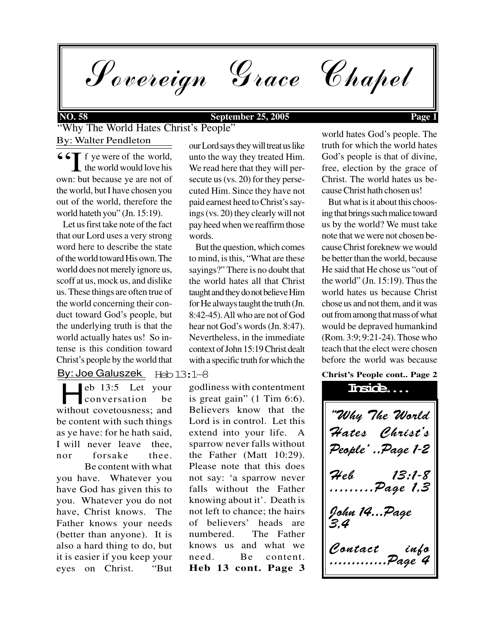Sovereign Grace Chapel

#### **NO. 58 September 25, 2005 Page 1**

## By: Walter Pendleton "Why The World Hates Christ's People"

 $\frac{66}{1}$ f ye were of the world, the world would love his own: but because ye are not of the world, but I have chosen you out of the world, therefore the world hateth you" (Jn. 15:19).

 Let us first take note of the fact that our Lord uses a very strong word here to describe the state of the world toward His own. The world does not merely ignore us, scoff at us, mock us, and dislike us. These things are often true of the world concerning their conduct toward God's people, but the underlying truth is that the world actually hates us! So intense is this condition toward Christ's people by the world that

#### Heb 13:1-8 By: Joe Galuszek

eb 13:5 Let your<br>conversation be<br>without covetousness; and eb 13:5 Let your conversation be be content with such things as ye have: for he hath said, I will never leave thee, nor forsake thee. Be content with what

you have. Whatever you have God has given this to you. Whatever you do not have, Christ knows. The Father knows your needs (better than anyone). It is also a hard thing to do, but it is easier if you keep your eyes on Christ. "But

our Lord says they will treat us like unto the way they treated Him. We read here that they will persecute us (vs. 20) for they persecuted Him. Since they have not paid earnest heed to Christ's sayings (vs. 20) they clearly will not pay heed when we reaffirm those words.

 But the question, which comes to mind, is this, "What are these sayings?" There is no doubt that the world hates all that Christ taught and they do not believe Him for He always taught the truth (Jn. 8:42-45). All who are not of God hear not God's words (Jn. 8:47). Nevertheless, in the immediate context of John 15:19 Christ dealt with a specific truth for which the

**Heb 13 cont. Page 3** godliness with contentment is great gain"  $(1 \text{ Tim } 6:6)$ . Believers know that the Lord is in control. Let this extend into your life. A sparrow never falls without the Father (Matt 10:29). Please note that this does not say: 'a sparrow never falls without the Father knowing about it'. Death is not left to chance; the hairs of believers' heads are numbered. The Father knows us and what we need. Be content.

world hates God's people. The truth for which the world hates God's people is that of divine, free, election by the grace of Christ. The world hates us because Christ hath chosen us!

 But what is it about this choosing that brings such malice toward us by the world? We must take note that we were not chosen because Christ foreknew we would be better than the world, because He said that He chose us "out of the world" (Jn. 15:19). Thus the world hates us because Christ chose us and not them, and it was out from among that mass of what would be depraved humankind (Rom. 3:9; 9:21-24). Those who teach that the elect were chosen before the world was because

### **Christ's People cont.. Page 2**

"Why The World Hates Christ's People' ..Page 1-2 Heb 13:1-8 ...Page 1,3 John 14...Page 3,4 Contact info .............Page 4 **Inside....**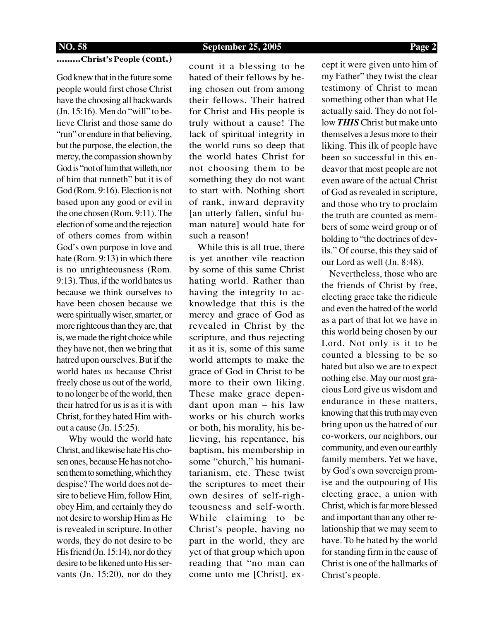### **NO. 58 September 25, 2005 Page 2**

#### **.........Christ's People (cont.)**

God knew that in the future some people would first chose Christ have the choosing all backwards (Jn. 15:16). Men do "will" to believe Christ and those same do "run" or endure in that believing, but the purpose, the election, the mercy, the compassion shown by God is "not of him that willeth, nor of him that runneth" but it is of God (Rom. 9:16). Election is not based upon any good or evil in the one chosen (Rom. 9:11). The election of some and the rejection of others comes from within God's own purpose in love and hate (Rom. 9:13) in which there is no unrighteousness (Rom. 9:13). Thus, if the world hates us because we think ourselves to have been chosen because we were spiritually wiser, smarter, or more righteous than they are, that is, we made the right choice while they have not, then we bring that hatred upon ourselves. But if the world hates us because Christ freely chose us out of the world, to no longer be of the world, then their hatred for us is as it is with Christ, for they hated Him without a cause (Jn. 15:25).

 Why would the world hate Christ, and likewise hate His chosen ones, because He has not chosen them to something, which they despise? The world does not desire to believe Him, follow Him, obey Him, and certainly they do not desire to worship Him as He is revealed in scripture. In other words, they do not desire to be His friend (Jn. 15:14), nor do they desire to be likened unto His servants (Jn. 15:20), nor do they count it a blessing to be hated of their fellows by being chosen out from among their fellows. Their hatred for Christ and His people is truly without a cause! The lack of spiritual integrity in the world runs so deep that the world hates Christ for not choosing them to be something they do not want to start with. Nothing short of rank, inward depravity [an utterly fallen, sinful human nature] would hate for such a reason!

 While this is all true, there is yet another vile reaction by some of this same Christ hating world. Rather than having the integrity to acknowledge that this is the mercy and grace of God as revealed in Christ by the scripture, and thus rejecting it as it is, some of this same world attempts to make the grace of God in Christ to be more to their own liking. These make grace dependant upon man – his law works or his church works or both, his morality, his believing, his repentance, his baptism, his membership in some "church," his humanitarianism, etc. These twist the scriptures to meet their own desires of self-righteousness and self-worth. While claiming to be Christ's people, having no part in the world, they are yet of that group which upon reading that "no man can come unto me [Christ], ex-

cept it were given unto him of my Father" they twist the clear testimony of Christ to mean something other than what He actually said. They do not follow *THIS* Christ but make unto themselves a Jesus more to their liking. This ilk of people have been so successful in this endeavor that most people are not even aware of the actual Christ of God as revealed in scripture, and those who try to proclaim the truth are counted as members of some weird group or of holding to "the doctrines of devils." Of course, this they said of our Lord as well (Jn. 8:48).

 Nevertheless, those who are the friends of Christ by free, electing grace take the ridicule and even the hatred of the world as a part of that lot we have in this world being chosen by our Lord. Not only is it to be counted a blessing to be so hated but also we are to expect nothing else. May our most gracious Lord give us wisdom and endurance in these matters, knowing that this truth may even bring upon us the hatred of our co-workers, our neighbors, our community, and even our earthly family members. Yet we have, by God's own sovereign promise and the outpouring of His electing grace, a union with Christ, which is far more blessed and important than any other relationship that we may seem to have. To be hated by the world for standing firm in the cause of Christ is one of the hallmarks of Christ's people.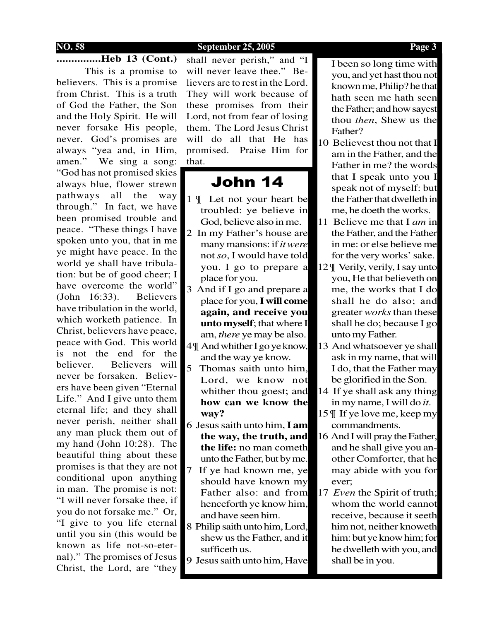### **NO. 58 September 25, 2005 Page 3**

**...............Heb 13 (Cont.)**

This is a promise to believers. This is a promise from Christ. This is a truth of God the Father, the Son and the Holy Spirit. He will never forsake His people, never. God's promises are always "yea and, in Him, amen." We sing a song: "God has not promised skies always blue, flower strewn pathways all the way through." In fact, we have been promised trouble and peace. "These things I have spoken unto you, that in me ye might have peace. In the world ye shall have tribulation: but be of good cheer; I have overcome the world" (John 16:33). Believers have tribulation in the world, which worketh patience. In Christ, believers have peace, peace with God. This world is not the end for the believer. Believers will never be forsaken. Believers have been given "Eternal Life." And I give unto them eternal life; and they shall never perish, neither shall any man pluck them out of my hand (John 10:28). The beautiful thing about these promises is that they are not conditional upon anything in man. The promise is not: "I will never forsake thee, if you do not forsake me." Or, "I give to you life eternal until you sin (this would be known as life not-so-eternal)." The promises of Jesus Christ, the Lord, are "they

shall never perish," and "I will never leave thee." Believers are to rest in the Lord. They will work because of these promises from their Lord, not from fear of losing them. The Lord Jesus Christ will do all that He has promised. Praise Him for that.

# John 14

- 1 ¶ Let not your heart be troubled: ye believe in God, believe also in me.
- 2 In my Father's house are many mansions: if *it were* not *so*, I would have told you. I go to prepare a place for you.
- 3 And if I go and prepare a place for you, **I will come again, and receive you unto myself**; that where I am, *there* ye may be also.
- 4 ¶ And whither I go ye know, and the way ye know.
- 5 Thomas saith unto him, Lord, we know not whither thou goest; and **how can we know the way?**
- 6 Jesus saith unto him, **I am the way, the truth, and the life:** no man cometh unto the Father, but by me.
- 7 If ye had known me, ye should have known my Father also: and from henceforth ye know him, and have seen him.
- 8 Philip saith unto him, Lord, shew us the Father, and it sufficeth us.
- 9 Jesus saith unto him, Have

I been so long time with you, and yet hast thou not known me, Philip? he that hath seen me hath seen the Father; and how sayest thou *then*, Shew us the Father?

- 10 Believest thou not that I am in the Father, and the Father in me? the words that I speak unto you I speak not of myself: but the Father that dwelleth in me, he doeth the works.
- 11 Believe me that I *am* in the Father, and the Father in me: or else believe me for the very works' sake.
- 12 ¶ Verily, verily, I say unto you, He that believeth on me, the works that I do shall he do also; and greater *works* than these shall he do; because I go unto my Father.
- 13 And whatsoever ye shall ask in my name, that will I do, that the Father may be glorified in the Son.
- 14 If ye shall ask any thing in my name, I will do *it*.
- 15 ¶ If ye love me, keep my commandments.
- 16 And I will pray the Father, and he shall give you another Comforter, that he may abide with you for ever;
- 17 *Even* the Spirit of truth; whom the world cannot receive, because it seeth him not, neither knoweth him: but ye know him; for he dwelleth with you, and shall be in you.